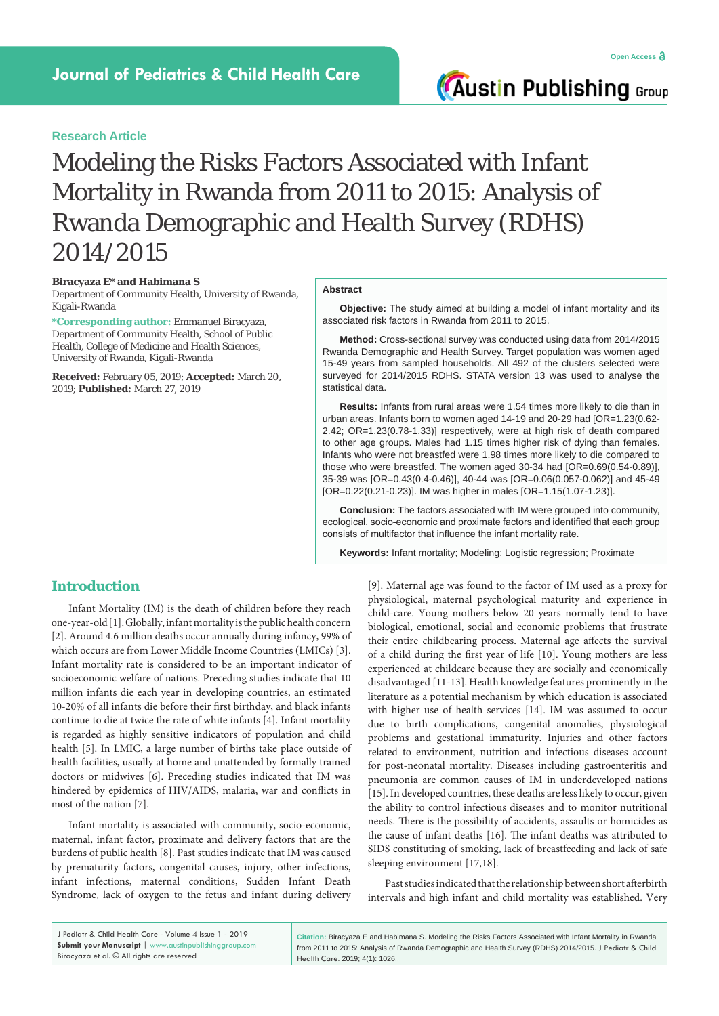**Austin Publishing Group** 

# Modeling the Risks Factors Associated with Infant Mortality in Rwanda from 2011 to 2015: Analysis of Rwanda Demographic and Health Survey (RDHS) 2014/2015

#### **Biracyaza E\* and Habimana S**

Department of Community Health, University of Rwanda, Kigali-Rwanda

**\*Corresponding author:** Emmanuel Biracyaza, Department of Community Health, School of Public Health, College of Medicine and Health Sciences, University of Rwanda, Kigali-Rwanda

**Received:** February 05, 2019; **Accepted:** March 20, 2019; **Published:** March 27, 2019

#### **Abstract**

**Objective:** The study aimed at building a model of infant mortality and its associated risk factors in Rwanda from 2011 to 2015.

**Method:** Cross-sectional survey was conducted using data from 2014/2015 Rwanda Demographic and Health Survey. Target population was women aged 15-49 years from sampled households. All 492 of the clusters selected were surveyed for 2014/2015 RDHS. STATA version 13 was used to analyse the statistical data.

**Results:** Infants from rural areas were 1.54 times more likely to die than in urban areas. Infants born to women aged 14-19 and 20-29 had [OR=1.23(0.62- 2.42; OR=1.23(0.78-1.33)] respectively, were at high risk of death compared to other age groups. Males had 1.15 times higher risk of dying than females. Infants who were not breastfed were 1.98 times more likely to die compared to those who were breastfed. The women aged 30-34 had [OR=0.69(0.54-0.89)], 35-39 was [OR=0.43(0.4-0.46)], 40-44 was [OR=0.06(0.057-0.062)] and 45-49 [OR=0.22(0.21-0.23)]. IM was higher in males [OR=1.15(1.07-1.23)].

**Conclusion:** The factors associated with IM were grouped into community, ecological, socio-economic and proximate factors and identified that each group consists of multifactor that influence the infant mortality rate.

**Keywords:** Infant mortality; Modeling; Logistic regression; Proximate

# **Introduction**

Infant Mortality (IM) is the death of children before they reach one-year-old [1]. Globally, infant mortality is the public health concern [2]. Around 4.6 million deaths occur annually during infancy, 99% of which occurs are from Lower Middle Income Countries (LMICs) [3]. Infant mortality rate is considered to be an important indicator of socioeconomic welfare of nations. Preceding studies indicate that 10 million infants die each year in developing countries, an estimated 10-20% of all infants die before their first birthday, and black infants continue to die at twice the rate of white infants [4]. Infant mortality is regarded as highly sensitive indicators of population and child health [5]. In LMIC, a large number of births take place outside of health facilities, usually at home and unattended by formally trained doctors or midwives [6]. Preceding studies indicated that IM was hindered by epidemics of HIV/AIDS, malaria, war and conflicts in most of the nation [7].

Infant mortality is associated with community, socio-economic, maternal, infant factor, proximate and delivery factors that are the burdens of public health [8]. Past studies indicate that IM was caused by prematurity factors, congenital causes, injury, other infections, infant infections, maternal conditions, Sudden Infant Death Syndrome, lack of oxygen to the fetus and infant during delivery [9]. Maternal age was found to the factor of IM used as a proxy for physiological, maternal psychological maturity and experience in child-care. Young mothers below 20 years normally tend to have biological, emotional, social and economic problems that frustrate their entire childbearing process. Maternal age affects the survival of a child during the first year of life [10]. Young mothers are less experienced at childcare because they are socially and economically disadvantaged [11-13]. Health knowledge features prominently in the literature as a potential mechanism by which education is associated with higher use of health services [14]. IM was assumed to occur due to birth complications, congenital anomalies, physiological problems and gestational immaturity. Injuries and other factors related to environment, nutrition and infectious diseases account for post-neonatal mortality. Diseases including gastroenteritis and pneumonia are common causes of IM in underdeveloped nations [15]. In developed countries, these deaths are less likely to occur, given the ability to control infectious diseases and to monitor nutritional needs. There is the possibility of accidents, assaults or homicides as the cause of infant deaths [16]. The infant deaths was attributed to SIDS constituting of smoking, lack of breastfeeding and lack of safe sleeping environment [17,18].

Past studies indicated that the relationship between short afterbirth intervals and high infant and child mortality was established. Very

J Pediatr & Child Health Care - Volume 4 Issue 1 - 2019 **Submit your Manuscript** | www.austinpublishinggroup.com Biracyaza et al. © All rights are reserved

**Citation:** Biracyaza E and Habimana S. Modeling the Risks Factors Associated with Infant Mortality in Rwanda from 2011 to 2015: Analysis of Rwanda Demographic and Health Survey (RDHS) 2014/2015. J Pediatr & Child Health Care. 2019; 4(1): 1026.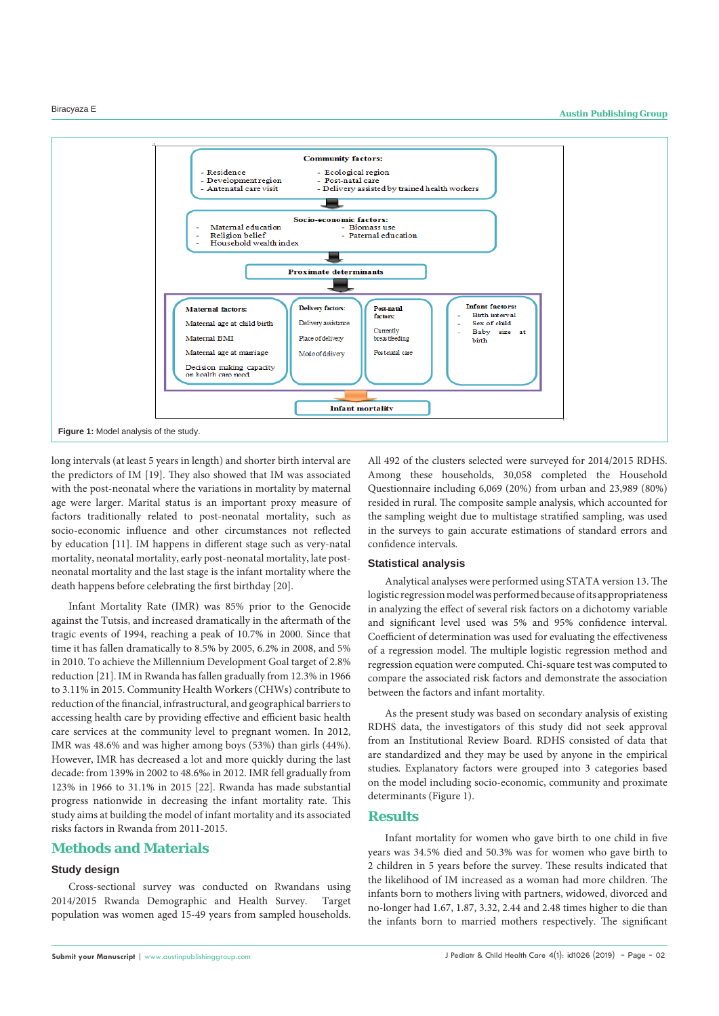

long intervals (at least 5 years in length) and shorter birth interval are the predictors of IM [19]. They also showed that IM was associated with the post-neonatal where the variations in mortality by maternal age were larger. Marital status is an important proxy measure of factors traditionally related to post-neonatal mortality, such as socio-economic influence and other circumstances not reflected by education [11]. IM happens in different stage such as very-natal mortality, neonatal mortality, early post-neonatal mortality, late postneonatal mortality and the last stage is the infant mortality where the death happens before celebrating the first birthday [20].

Infant Mortality Rate (IMR) was 85% prior to the Genocide against the Tutsis, and increased dramatically in the aftermath of the tragic events of 1994, reaching a peak of 10.7% in 2000. Since that time it has fallen dramatically to 8.5% by 2005, 6.2% in 2008, and 5% in 2010. To achieve the Millennium Development Goal target of 2.8% reduction [21]. IM in Rwanda has fallen gradually from 12.3% in 1966 to 3.11% in 2015. Community Health Workers (CHWs) contribute to reduction of the financial, infrastructural, and geographical barriers to accessing health care by providing effective and efficient basic health care services at the community level to pregnant women. In 2012, IMR was 48.6% and was higher among boys (53%) than girls (44%). However, IMR has decreased a lot and more quickly during the last decade: from 139% in 2002 to 48.6‰ in 2012. IMR fell gradually from 123% in 1966 to 31.1% in 2015 [22]. Rwanda has made substantial progress nationwide in decreasing the infant mortality rate. This study aims at building the model of infant mortality and its associated risks factors in Rwanda from 2011-2015.

# **Methods and Materials**

### **Study design**

Cross-sectional survey was conducted on Rwandans using 2014/2015 Rwanda Demographic and Health Survey. Target population was women aged 15-49 years from sampled households.

All 492 of the clusters selected were surveyed for 2014/2015 RDHS. Among these households, 30,058 completed the Household Questionnaire including 6,069 (20%) from urban and 23,989 (80%) resided in rural. The composite sample analysis, which accounted for the sampling weight due to multistage stratified sampling, was used in the surveys to gain accurate estimations of standard errors and confidence intervals.

#### **Statistical analysis**

Analytical analyses were performed using STATA version 13. The logistic regression model was performed because of its appropriateness in analyzing the effect of several risk factors on a dichotomy variable and significant level used was 5% and 95% confidence interval. Coefficient of determination was used for evaluating the effectiveness of a regression model. The multiple logistic regression method and regression equation were computed. Chi-square test was computed to compare the associated risk factors and demonstrate the association between the factors and infant mortality.

As the present study was based on secondary analysis of existing RDHS data, the investigators of this study did not seek approval from an Institutional Review Board. RDHS consisted of data that are standardized and they may be used by anyone in the empirical studies. Explanatory factors were grouped into 3 categories based on the model including socio-economic, community and proximate determinants (Figure 1).

# **Results**

Infant mortality for women who gave birth to one child in five years was 34.5% died and 50.3% was for women who gave birth to 2 children in 5 years before the survey. These results indicated that the likelihood of IM increased as a woman had more children. The infants born to mothers living with partners, widowed, divorced and no-longer had 1.67, 1.87, 3.32, 2.44 and 2.48 times higher to die than the infants born to married mothers respectively. The significant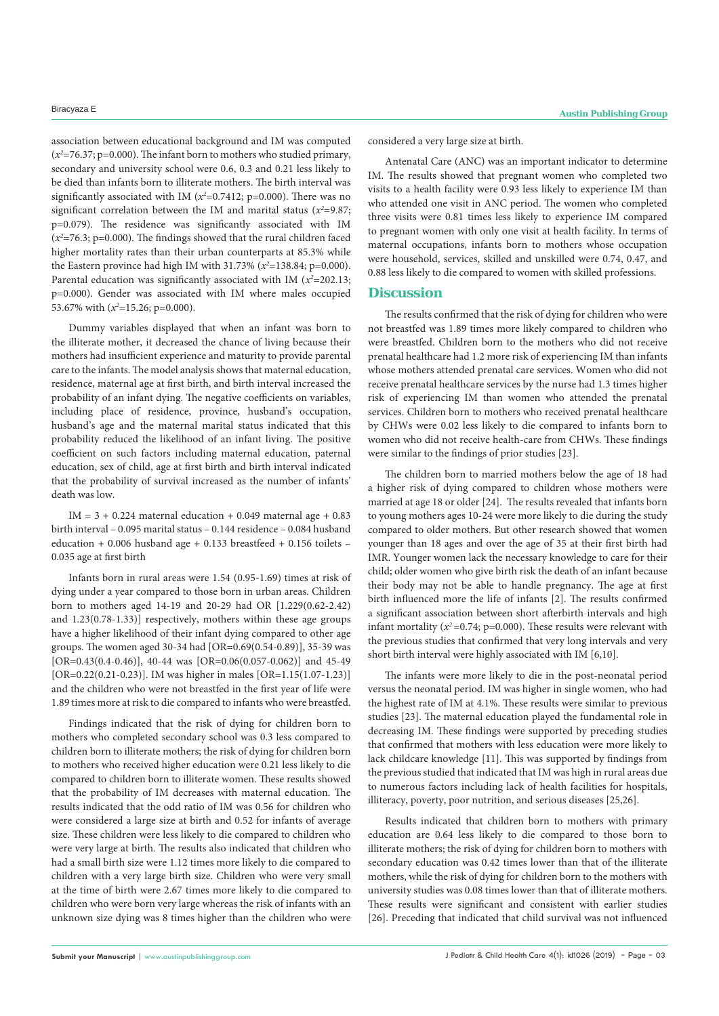association between educational background and IM was computed (*x2* =76.37; p=0.000). The infant born to mothers who studied primary, secondary and university school were 0.6, 0.3 and 0.21 less likely to be died than infants born to illiterate mothers. The birth interval was significantly associated with IM  $(x^2=0.7412; p=0.000)$ . There was no significant correlation between the IM and marital status  $(x^2=9.87;$ p=0.079). The residence was significantly associated with IM (*x2* =76.3; p=0.000). The findings showed that the rural children faced higher mortality rates than their urban counterparts at 85.3% while the Eastern province had high IM with 31.73%  $(x^2=138.84; p=0.000)$ . Parental education was significantly associated with IM  $(x^2=202.13;$ p=0.000). Gender was associated with IM where males occupied 53.67% with ( $x^2$ =15.26; p=0.000).

Dummy variables displayed that when an infant was born to the illiterate mother, it decreased the chance of living because their mothers had insufficient experience and maturity to provide parental care to the infants. The model analysis shows that maternal education, residence, maternal age at first birth, and birth interval increased the probability of an infant dying. The negative coefficients on variables, including place of residence, province, husband's occupation, husband's age and the maternal marital status indicated that this probability reduced the likelihood of an infant living. The positive coefficient on such factors including maternal education, paternal education, sex of child, age at first birth and birth interval indicated that the probability of survival increased as the number of infants' death was low.

IM =  $3 + 0.224$  maternal education + 0.049 maternal age + 0.83 birth interval – 0.095 marital status – 0.144 residence – 0.084 husband education + 0.006 husband age + 0.133 breastfeed + 0.156 toilets – 0.035 age at first birth

Infants born in rural areas were 1.54 (0.95-1.69) times at risk of dying under a year compared to those born in urban areas. Children born to mothers aged 14-19 and 20-29 had OR [1.229(0.62-2.42) and 1.23(0.78-1.33)] respectively, mothers within these age groups have a higher likelihood of their infant dying compared to other age groups. The women aged 30-34 had [OR=0.69(0.54-0.89)], 35-39 was [OR=0.43(0.4-0.46)], 40-44 was [OR=0.06(0.057-0.062)] and 45-49 [OR=0.22(0.21-0.23)]. IM was higher in males [OR=1.15(1.07-1.23)] and the children who were not breastfed in the first year of life were 1.89 times more at risk to die compared to infants who were breastfed.

Findings indicated that the risk of dying for children born to mothers who completed secondary school was 0.3 less compared to children born to illiterate mothers; the risk of dying for children born to mothers who received higher education were 0.21 less likely to die compared to children born to illiterate women. These results showed that the probability of IM decreases with maternal education. The results indicated that the odd ratio of IM was 0.56 for children who were considered a large size at birth and 0.52 for infants of average size. These children were less likely to die compared to children who were very large at birth. The results also indicated that children who had a small birth size were 1.12 times more likely to die compared to children with a very large birth size. Children who were very small at the time of birth were 2.67 times more likely to die compared to children who were born very large whereas the risk of infants with an unknown size dying was 8 times higher than the children who were considered a very large size at birth.

Antenatal Care (ANC) was an important indicator to determine IM. The results showed that pregnant women who completed two visits to a health facility were 0.93 less likely to experience IM than who attended one visit in ANC period. The women who completed three visits were 0.81 times less likely to experience IM compared to pregnant women with only one visit at health facility. In terms of maternal occupations, infants born to mothers whose occupation were household, services, skilled and unskilled were 0.74, 0.47, and 0.88 less likely to die compared to women with skilled professions.

# **Discussion**

The results confirmed that the risk of dying for children who were not breastfed was 1.89 times more likely compared to children who were breastfed. Children born to the mothers who did not receive prenatal healthcare had 1.2 more risk of experiencing IM than infants whose mothers attended prenatal care services. Women who did not receive prenatal healthcare services by the nurse had 1.3 times higher risk of experiencing IM than women who attended the prenatal services. Children born to mothers who received prenatal healthcare by CHWs were 0.02 less likely to die compared to infants born to women who did not receive health-care from CHWs. These findings were similar to the findings of prior studies [23].

The children born to married mothers below the age of 18 had a higher risk of dying compared to children whose mothers were married at age 18 or older [24]. The results revealed that infants born to young mothers ages 10-24 were more likely to die during the study compared to older mothers. But other research showed that women younger than 18 ages and over the age of 35 at their first birth had IMR. Younger women lack the necessary knowledge to care for their child; older women who give birth risk the death of an infant because their body may not be able to handle pregnancy. The age at first birth influenced more the life of infants [2]. The results confirmed a significant association between short afterbirth intervals and high infant mortality ( $x^2$ =0.74; p=0.000). These results were relevant with the previous studies that confirmed that very long intervals and very short birth interval were highly associated with IM [6,10].

The infants were more likely to die in the post-neonatal period versus the neonatal period. IM was higher in single women, who had the highest rate of IM at 4.1%. These results were similar to previous studies [23]. The maternal education played the fundamental role in decreasing IM. These findings were supported by preceding studies that confirmed that mothers with less education were more likely to lack childcare knowledge [11]. This was supported by findings from the previous studied that indicated that IM was high in rural areas due to numerous factors including lack of health facilities for hospitals, illiteracy, poverty, poor nutrition, and serious diseases [25,26].

Results indicated that children born to mothers with primary education are 0.64 less likely to die compared to those born to illiterate mothers; the risk of dying for children born to mothers with secondary education was 0.42 times lower than that of the illiterate mothers, while the risk of dying for children born to the mothers with university studies was 0.08 times lower than that of illiterate mothers. These results were significant and consistent with earlier studies [26]. Preceding that indicated that child survival was not influenced